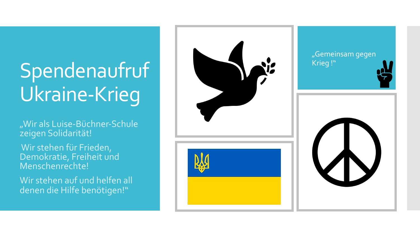# Spendenaufruf Ukraine -Krieg

"Wir als Luise-Büchner-Schule zeigen Solidarität!

Wir stehen für Frieden, Demokratie, Freiheit und Menschenrechte!

Wir stehen auf und helfen all denen die Hilfe benötigen!"



#### "Gemeinsam gegen Krieg !"



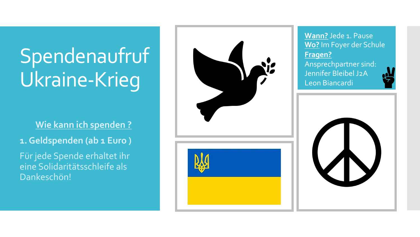# Spendenaufruf Ukraine -Krieg

**1. Wie kann ich spenden ?**

**1. Geldspenden (ab 1 Euro )** 

Für jede Spende erhaltet ihr eine Solidaritätsschleife als Dankeschön!



### **Wann?** Jede 1. Pause **Wo?** Im Foyer der Schule **Fragen?**

Ansprechpartner sind: Jennifer Bleibel J2A Leon Biancardi



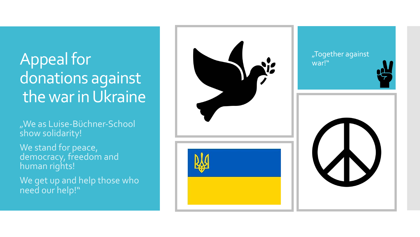## Appeal for donations against the war in Ukraine

"We as Luise-Büchner-School show solidarity!

We stand for peace, democracy, freedom and human rights !

We get up and help those who need our help!"



#### "Together against war!"



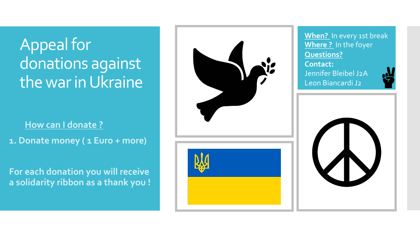### Appeal for donations against the war in Ukraine

#### **1. How can I donate ?**

**1. Donate money ( 1 Euro + more)**

**For each donation you will receive a solidarity ribbon as a thank you !** 



**When?** In every 1st break **Where ?** In the foyer **Questions? Contact:** Jennifer Bleibel J2A

Leon Biancardi J2



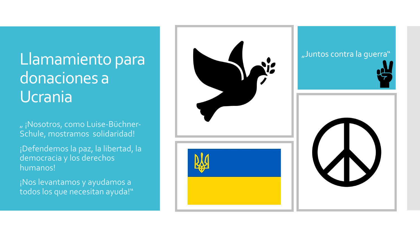### Llamamiento para donaciones a Ucrania

" ¡Nosotros, como Luise-Büchner-Schule, mostramos solidaridad !

¡Defendemos la paz, la libertad, la democracia y los derechos humanos !

¡Nos levantamos y ayudamos a todos los que necesitan ayuda!"